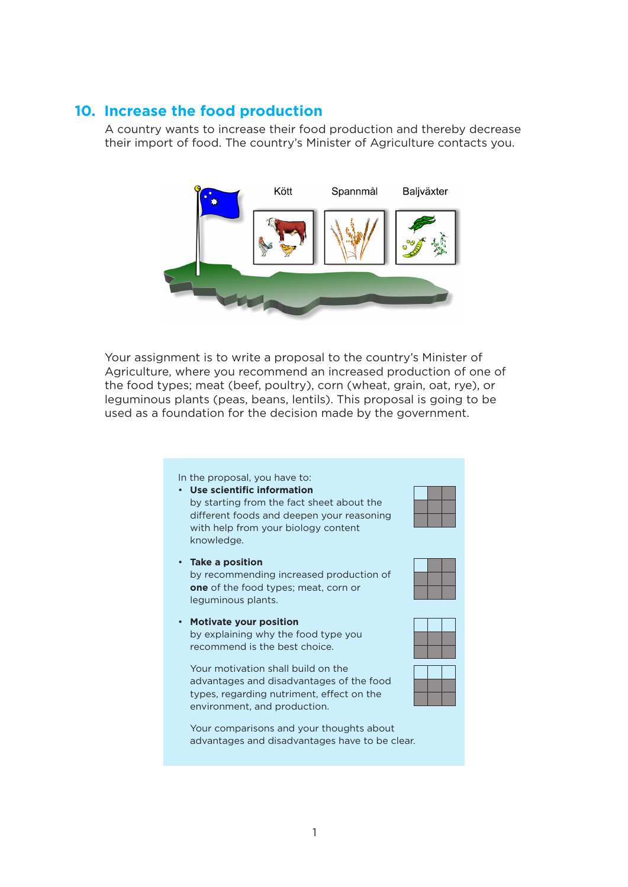## **10. Increase the food production**

A country wants to increase their food production and thereby decrease their import of food. The country's Minister of Agriculture contacts you.



Your assignment is to write a proposal to the country's Minister of Agriculture, where you recommend an increased production of one of the food types; meat (beef, poultry), corn (wheat, grain, oat, rye), or leguminous plants (peas, beans, lentils). This proposal is going to be used as a foundation for the decision made by the government.

In the proposal, you have to:

• **Take a position**

leguminous plants.

• **Use scientific information**  by starting from the fact sheet about the different foods and deepen your reasoning with help from your biology content knowledge.

by recommending increased production of **one** of the food types; meat, corn or





• **Motivate your position**  by explaining why the food type you recommend is the best choice.

Your motivation shall build on the advantages and disadvantages of the food types, regarding nutriment, effect on the environment, and production.

Your comparisons and your thoughts about advantages and disadvantages have to be clear.